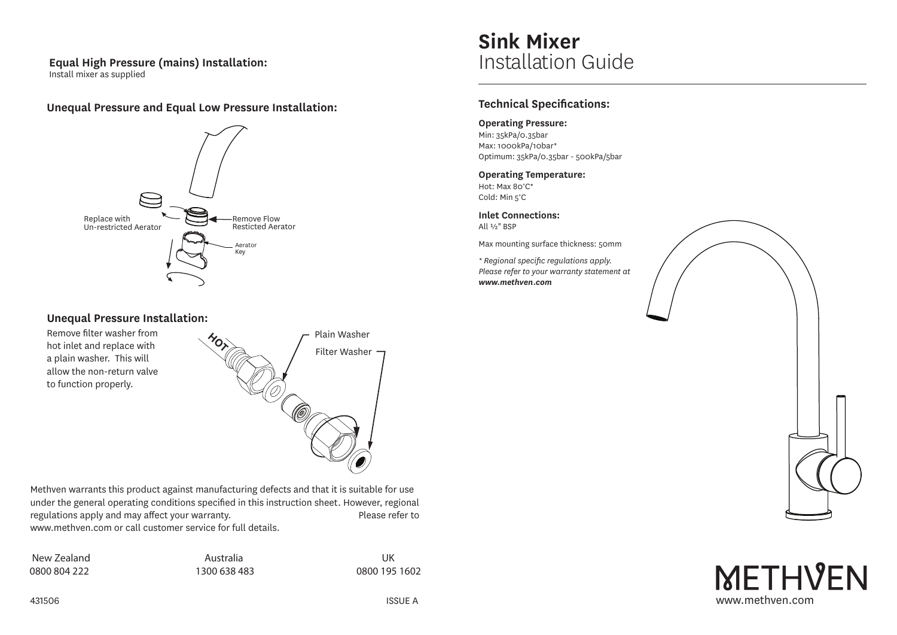#### **Equal High Pressure (mains) Installation:**  Install mixer as supplied

### **Unequal Pressure and Equal Low Pressure Installation:**



#### **Unequal Pressure Installation:**

Remove filter washer from hot inlet and replace with a plain washer. This will allow the non-return valve to function properly.



Methven warrants this product against manufacturing defects and that it is suitable for use under the general operating conditions specified in this instruction sheet. However, regional regulations apply and may affect your warranty. Please refer to www.methven.com or call customer service for full details.

| New Zealand  |
|--------------|
| 0800 804 222 |

Australia 1300 638 483

UK 0800 195 1602

# **Sink Mixer** Installation Guide

## **Technical Specifications:**

#### **Operating Pressure:**

Min: 35kPa/0.35bar Max: 1000kPa/10bar\* Optimum: 35kPa/0.35bar - 500kPa/5bar

# **Operating Temperature:**

Hot: Max 80°C\* Cold: Min 5°C

**Inlet Connections:** All ½" BSP

Max mounting surface thickness: 50mm

*\* Regional specific regulations apply. Please refer to your warranty statement at www.methven.com*